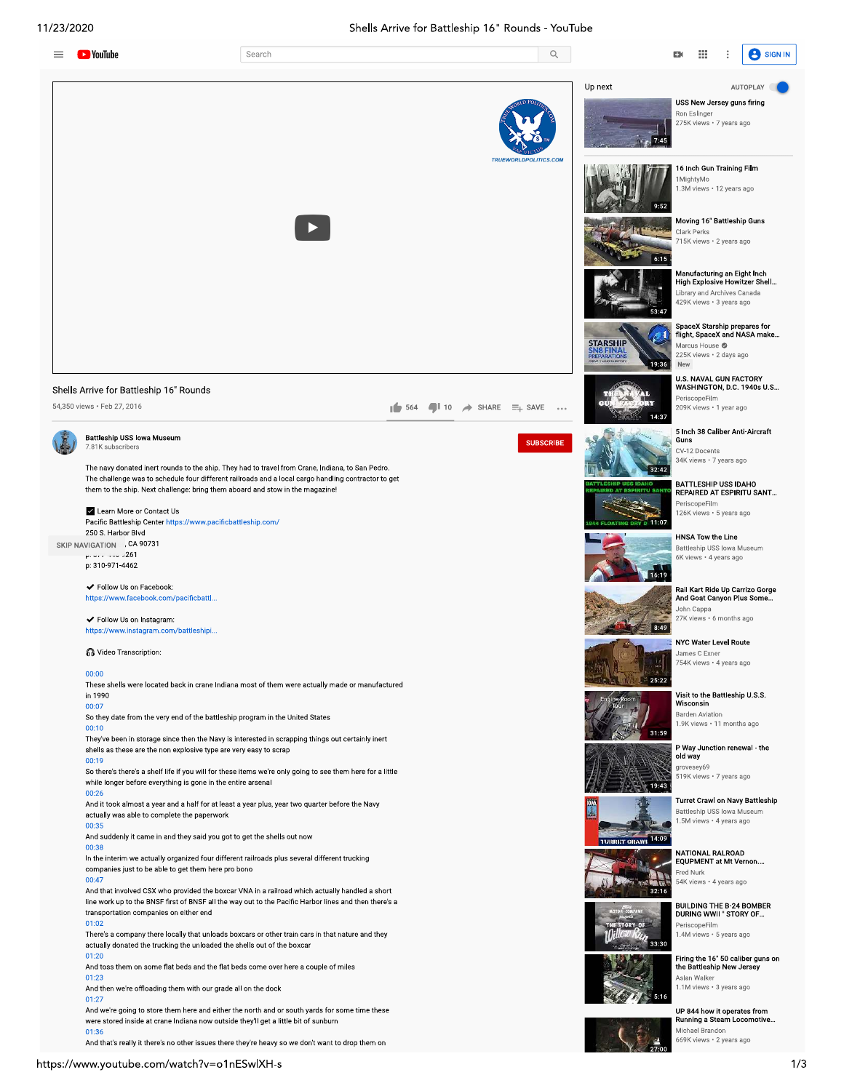

And toss them on some flat beds and the flat beds come over here a couple of miles 01:23

And then we're offloading them with our grade all on the dock

 $01:27$ 

And toss them on some flat beds and the flat beds come over here a couple of miles<br>
01:23<br>
And then we're offloading them with our grade all on the dock<br>
201:23<br>
And then we're offloading them with our grade all on the doc And we're going to store them here and either the north and or south yards for some time these were stored inside at crane Indiana now outside they'll get a little bit of sunburn  $01:36$ 

0 1:36<br>And that's really it there's no other issues there they're heavy so we don't want to drop them on

the Battleship New Jersey 1.1M views · 3 years ago

Aslan Walker

Michael Brandon

UP 844 how it operates from Running a Steam Locomotive... 669K views · 2 years ago

 $5:16$ 

 $27:00$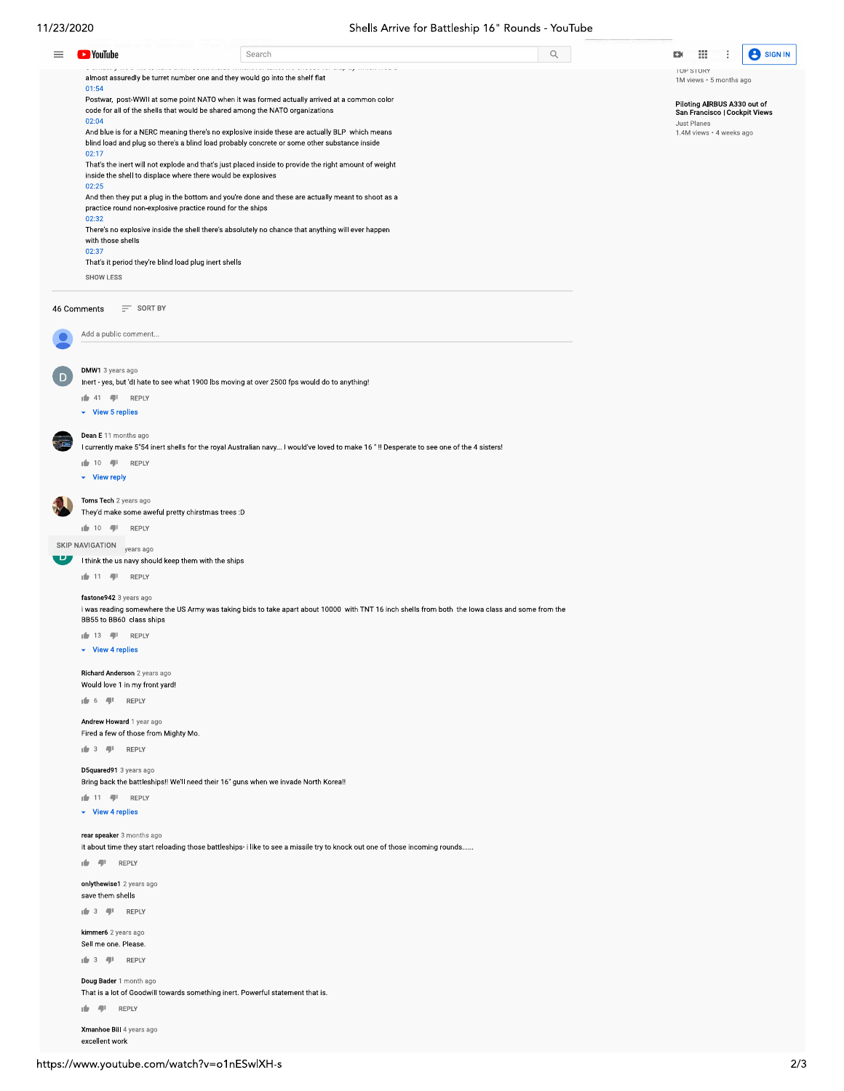Ξ

**D** YouTube

 $01:54$ 

Search

Postwar, post-WWII at some point NATO when it was formed actually arrived at a common color

almost assuredly be turret number one and they would go into the shelf flat

 $\hbox{\ensuremath{\mathsf{Q}}\xspace}$ 



TUP STORY 1M views · 5 months ago

Piloting AIRBUS A330 out of<br>San Francisco | Cockpit Views Just Planes 1.4M views · 4 weeks ago

code for all of the shells that would be shared among the NATO organizations  $02:04$ And blue is for a NERC meaning there's no explosive inside these are actually BLP which means blind load and plug so there's a blind load probably concrete or some other substance inside 02:17 That's the inert will not explode and that's just placed inside to provide the right amount of weight inside the shell to displace where there would be explosives  $02:25$ And then they put a plug in the bottom and you're done and these are actually meant to shoot as a practice round non-explosive practice round for the ships  $02:32$ There's no explosive inside the shell there's absolutely no chance that anything will ever happen with those shells  $02:37$ That's it period they're blind load plug inert shells SHOW LESS 46 Comments  $\equiv$  SORT BY Add a public comment. DMW1 3 years ago Inert - yes, but 'dl hate to see what 1900 lbs moving at over 2500 fps would do to anything!  $\frac{1}{2}$  41  $\frac{1}{2}$  REPLY  $\overline{\phantom{a}}$  View 5 replies Dean E 11 months ago I currently make 5"54 inert shells for the royal Australian navy... I would've loved to make 16"!! Desperate to see one of the 4 sisters!  $\frac{1}{2}$  10  $\frac{1}{2}$  REPLY  $\overline{\phantom{a}}$  View reply Toms Tech 2 years ago They'd make some aweful pretty chirstmas trees :D  $\frac{1}{2}$  10  $\frac{1}{2}$  REPLY SKIP NAVIGATION years ago I think the us navy should keep them with the ships  $\mathbf{r} = 11$   $\mathbf{r} = 11$  REPLY fastone942 3 years ago i was reading somewhere the US Army was taking bids to take apart about 10000 with TNT 16 inch shells from both the lowa class and some from the BB55 to BB60 class ships  $\frac{1}{2}$  13  $\frac{1}{2}$  REPLY  $\blacktriangleright$  View 4 replies Richard Anderson 2 years ago Would love 1 in my front yard!  $\mathbf{r} = \mathbf{r}$  6  $\mathbf{r} = \mathbf{r}$  REPLY Andrew Howard 1 year ago Fired a few of those from Mighty Mo.  $\frac{1}{2}$  3  $\frac{1}{2}$  REPLY D5quared91 3 years ago Bring back the battleships!! We'll need their 16" guns when we invade North Korea!!  $\frac{1}{2}$  11  $\frac{1}{2}$  REPLY  $\overline{\phantom{a}}$  View 4 replies rear speaker 3 months ago it about time they start reloading those battleships- i like to see a missile try to knock out one of those incoming rounds......  $\mathbf{r} = \mathbf{r} \mathbf{r}$  REPLY onlythewise1 2 years ago save them shells  $\frac{1}{2}$  3  $\frac{1}{2}$  REPLY kimmer6 2 years ago Sell me one. Please.  $\frac{1}{2}$  3  $\frac{1}{2}$  REPLY Doug Bader 1 month ago That is a lot of Goodwill towards something inert. Powerful statement that is.  $\mathbf{r} = \mathbf{r} \mathbf{r}$  REPLY

Xmanhoe Bill 4 years ago excellent work